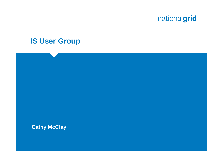### **IS User Group**

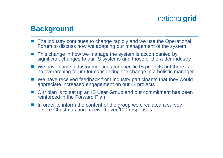### **Background**

- The industry continues to change rapidly and we use the Operational Forum to discuss how we adapting our management of the system
- This change in how we manage the system is accompanied by significant changes to our IS systems and those of the wider industry
- We have some industry meetings for specific IS projects but there is no overarching forum for considering the change in a holistic manager
- We have received feedback from industry participants that they would appreciate increased engagement on our IS projects
- Our plan is to set up an IS User Group and our commitment has been reinforced in the Forward Plan
- $\blacksquare$  In order to inform the content of the group we circulated a survey before Christmas and received over 100 responses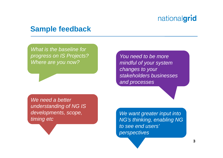### **Sample feedback**

*What is the baseline for progress on IS Projects? Where are you now?*

*You need to be more mindful of your system changes to your stakeholders businesses and processes*

*We need a better understanding of NG IS developments, scope, timing etc*

*We want greater input into NG's thinking, enabling NG to see end users' perspectives*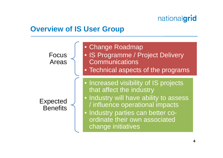## **Overview of IS User Group**

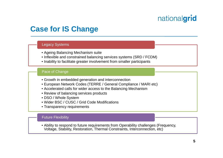### **Case for IS Change**

#### Legacy Systems

- Ageing Balancing Mechanism suite
- Inflexible and constrained balancing services systems (SRD / FCDM)
- Inability to facilitate greater involvement from smaller participants

#### Pace of Change

- Growth in embedded generation and interconnection
- European Network Codes (TERRE / General Compliance / MARI etc)
- Accelerated calls for wider access to the Balancing Mechanism
- Review of balancing services products
- DSO / Whole System
- Wider BSC / CUSC / Grid Code Modifications
- Transparency requirements

#### Future Flexibility

• Ability to respond to future requirements from Operability challenges (Frequency, Voltage, Stability, Restoration, Thermal Constraints, Interconnection, etc)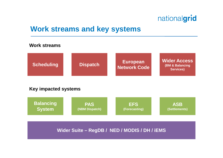### **Work streams and key systems**

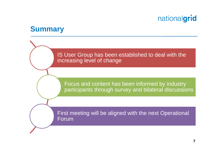### **Summary**

IS User Group has been established to deal with the increasing level of change

Focus and content has been informed by industry participants through survey and bilateral discussions

First meeting will be aligned with the next Operational Forum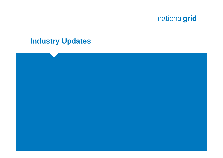### **Industry Updates**